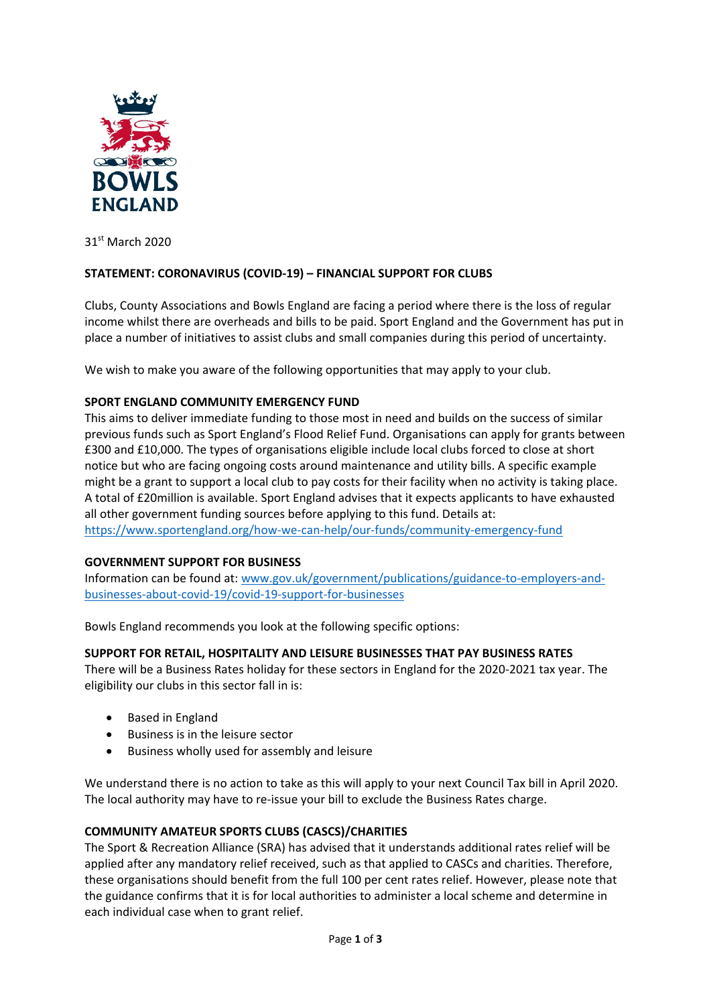

31st March 2020

# **STATEMENT: CORONAVIRUS (COVID‐19) – FINANCIAL SUPPORT FOR CLUBS**

Clubs, County Associations and Bowls England are facing a period where there is the loss of regular income whilst there are overheads and bills to be paid. Sport England and the Government has put in place a number of initiatives to assist clubs and small companies during this period of uncertainty.

We wish to make you aware of the following opportunities that may apply to your club.

## **SPORT ENGLAND COMMUNITY EMERGENCY FUND**

This aims to deliver immediate funding to those most in need and builds on the success of similar previous funds such as Sport England's Flood Relief Fund. Organisations can apply for grants between £300 and £10,000. The types of organisations eligible include local clubs forced to close at short notice but who are facing ongoing costs around maintenance and utility bills. A specific example might be a grant to support a local club to pay costs for their facility when no activity is taking place. A total of £20million is available. Sport England advises that it expects applicants to have exhausted all other government funding sources before applying to this fund. Details at: https://www.sportengland.org/how‐we‐can‐help/our‐funds/community‐emergency‐fund

# **GOVERNMENT SUPPORT FOR BUSINESS**

Information can be found at: www.gov.uk/government/publications/guidance‐to‐employers‐and‐ businesses‐about‐covid‐19/covid‐19‐support‐for‐businesses

Bowls England recommends you look at the following specific options:

#### **SUPPORT FOR RETAIL, HOSPITALITY AND LEISURE BUSINESSES THAT PAY BUSINESS RATES**

There will be a Business Rates holiday for these sectors in England for the 2020-2021 tax year. The eligibility our clubs in this sector fall in is:

- Based in England
- Business is in the leisure sector
- Business wholly used for assembly and leisure

We understand there is no action to take as this will apply to your next Council Tax bill in April 2020. The local authority may have to re‐issue your bill to exclude the Business Rates charge.

#### **COMMUNITY AMATEUR SPORTS CLUBS (CASCS)/CHARITIES**

The Sport & Recreation Alliance (SRA) has advised that it understands additional rates relief will be applied after any mandatory relief received, such as that applied to CASCs and charities. Therefore, these organisations should benefit from the full 100 per cent rates relief. However, please note that the guidance confirms that it is for local authorities to administer a local scheme and determine in each individual case when to grant relief.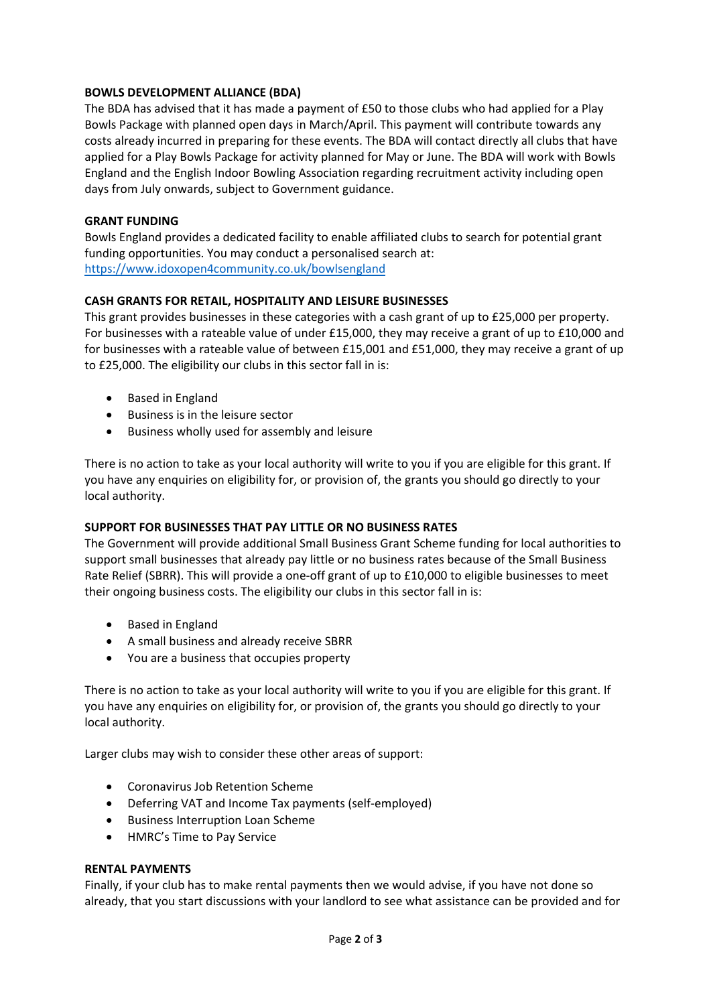## **BOWLS DEVELOPMENT ALLIANCE (BDA)**

The BDA has advised that it has made a payment of £50 to those clubs who had applied for a Play Bowls Package with planned open days in March/April. This payment will contribute towards any costs already incurred in preparing for these events. The BDA will contact directly all clubs that have applied for a Play Bowls Package for activity planned for May or June. The BDA will work with Bowls England and the English Indoor Bowling Association regarding recruitment activity including open days from July onwards, subject to Government guidance.

### **GRANT FUNDING**

Bowls England provides a dedicated facility to enable affiliated clubs to search for potential grant funding opportunities. You may conduct a personalised search at: https://www.idoxopen4community.co.uk/bowlsengland

## **CASH GRANTS FOR RETAIL, HOSPITALITY AND LEISURE BUSINESSES**

This grant provides businesses in these categories with a cash grant of up to £25,000 per property. For businesses with a rateable value of under £15,000, they may receive a grant of up to £10,000 and for businesses with a rateable value of between £15,001 and £51,000, they may receive a grant of up to £25,000. The eligibility our clubs in this sector fall in is:

- Based in England
- Business is in the leisure sector
- Business wholly used for assembly and leisure

There is no action to take as your local authority will write to you if you are eligible for this grant. If you have any enquiries on eligibility for, or provision of, the grants you should go directly to your local authority.

#### **SUPPORT FOR BUSINESSES THAT PAY LITTLE OR NO BUSINESS RATES**

The Government will provide additional Small Business Grant Scheme funding for local authorities to support small businesses that already pay little or no business rates because of the Small Business Rate Relief (SBRR). This will provide a one-off grant of up to £10,000 to eligible businesses to meet their ongoing business costs. The eligibility our clubs in this sector fall in is:

- Based in England
- A small business and already receive SBRR
- You are a business that occupies property

There is no action to take as your local authority will write to you if you are eligible for this grant. If you have any enquiries on eligibility for, or provision of, the grants you should go directly to your local authority.

Larger clubs may wish to consider these other areas of support:

- Coronavirus Job Retention Scheme
- Deferring VAT and Income Tax payments (self-employed)
- Business Interruption Loan Scheme
- HMRC's Time to Pay Service

### **RENTAL PAYMENTS**

Finally, if your club has to make rental payments then we would advise, if you have not done so already, that you start discussions with your landlord to see what assistance can be provided and for